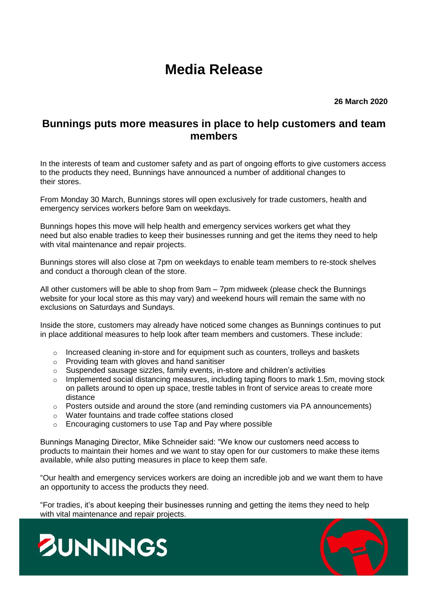## **Media Release**

**26 March 2020**

## **Bunnings puts more measures in place to help customers and team members**

In the interests of team and customer safety and as part of ongoing efforts to give customers access to the products they need, Bunnings have announced a number of additional changes to their stores.

From Monday 30 March, Bunnings stores will open exclusively for trade customers, health and emergency services workers before 9am on weekdays.

Bunnings hopes this move will help health and emergency services workers get what they need but also enable tradies to keep their businesses running and get the items they need to help with vital maintenance and repair projects.

Bunnings stores will also close at 7pm on weekdays to enable team members to re-stock shelves and conduct a thorough clean of the store.

All other customers will be able to shop from 9am – 7pm midweek (please check the Bunnings website for your local store as this may vary) and weekend hours will remain the same with no exclusions on Saturdays and Sundays.

Inside the store, customers may already have noticed some changes as Bunnings continues to put in place additional measures to help look after team members and customers. These include:

- $\circ$  Increased cleaning in-store and for equipment such as counters, trolleys and baskets
- o Providing team with gloves and hand sanitiser
- o Suspended sausage sizzles, family events, in-store and children's activities
- o Implemented social distancing measures, including taping floors to mark 1.5m, moving stock on pallets around to open up space, trestle tables in front of service areas to create more distance
- $\circ$  Posters outside and around the store (and reminding customers via PA announcements)
- o Water fountains and trade coffee stations closed
- o Encouraging customers to use Tap and Pay where possible

Bunnings Managing Director, Mike Schneider said: "We know our customers need access to products to maintain their homes and we want to stay open for our customers to make these items available, while also putting measures in place to keep them safe.

"Our health and emergency services workers are doing an incredible job and we want them to have an opportunity to access the products they need.

"For tradies, it's about keeping their businesses running and getting the items they need to help with vital maintenance and repair projects.